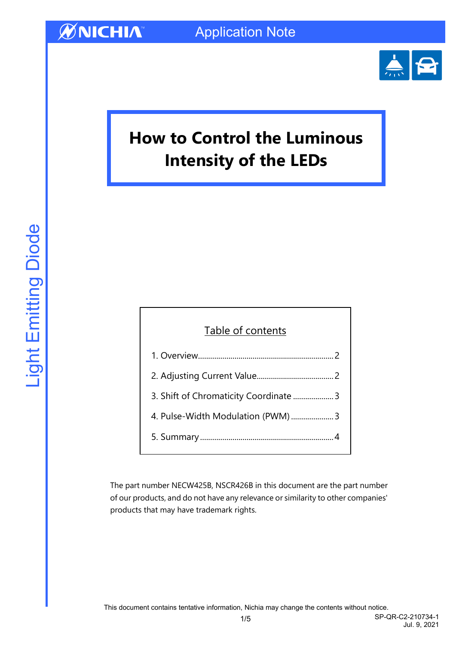

Jul. 9, 2021

# **How to Control the Luminous Intensity of the LEDs**

#### Table of contents

| 3. Shift of Chromaticity Coordinate  3 |
|----------------------------------------|
| 4. Pulse-Width Modulation (PWM)  3     |
|                                        |

The part number NECW425B, NSCR426B in this document are the part number of our products, and do not have any relevance or similarity to other companies' products that may have trademark rights.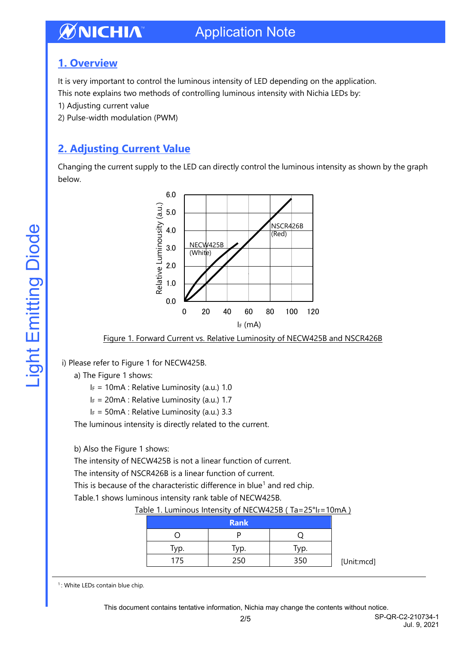#### <span id="page-1-0"></span>**1. Overview**

It is very important to control the luminous intensity of LED depending on the application.

This note explains two methods of controlling luminous intensity with Nichia LEDs by:

- 1) Adjusting current value
- 2) Pulse-width modulation (PWM)

### <span id="page-1-1"></span>**2. Adjusting Current Value**

Changing the current supply to the LED can directly control the luminous intensity as shown by the graph below.



Figure 1. Forward Current vs. Relative Luminosity of NECW425B and NSCR426B

i) Please refer to Figure 1 for NECW425B.

a) The Figure 1 shows:

 $I_F = 10$ mA : Relative Luminosity (a.u.) 1.0

 $I_F = 20 \text{mA}$ : Relative Luminosity (a.u.) 1.7

 $I_F = 50$ mA : Relative Luminosity (a.u.) 3.3

The luminous intensity is directly related to the current.

b) Also the Figure 1 shows:

The intensity of NECW425B is not a linear function of current.

The intensity of NSCR426B is a linear function of current.

This is because of the characteristic difference in blue<sup>1</sup> and red chip.

Table.1 shows luminous intensity rank table of NECW425B.

#### Table 1. Luminous Intensity of NECW425B (Ta=25°IF=10mA)

|      | <b>Rank</b> |      |                   |
|------|-------------|------|-------------------|
|      |             |      |                   |
| Typ. | Typ.        | Typ. |                   |
| 175  | 250         | 350  | [Uni <sup>-</sup> |

t:mcd]

<sup>&</sup>lt;sup>1</sup>: White LEDs contain blue chip.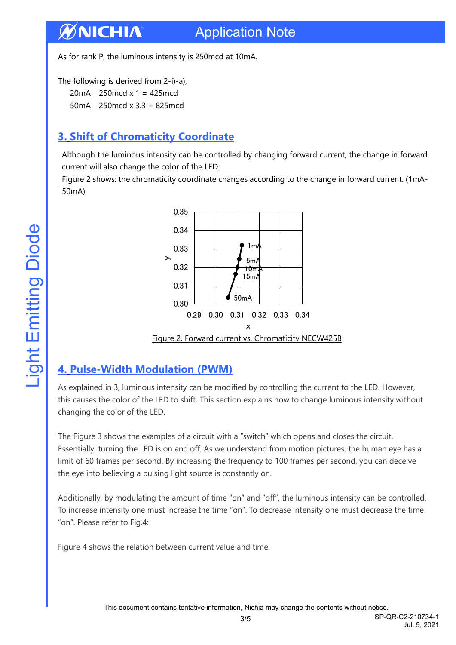As for rank P, the luminous intensity is 250mcd at 10mA.

The following is derived from 2-i)-a),

20mA 250mcd x 1 = 425mcd

50mA 250mcd x 3.3 = 825mcd

### <span id="page-2-0"></span>**3. Shift of Chromaticity Coordinate**

Although the luminous intensity can be controlled by changing forward current, the change in forward current will also change the color of the LED.

Figure 2 shows: the chromaticity coordinate changes according to the change in forward current. (1mA-50mA)



#### <span id="page-2-1"></span>**4. Pulse-Width Modulation (PWM)**

As explained in 3, luminous intensity can be modified by controlling the current to the LED. However, this causes the color of the LED to shift. This section explains how to change luminous intensity without changing the color of the LED.

The Figure 3 shows the examples of a circuit with a "switch" which opens and closes the circuit. Essentially, turning the LED is on and off. As we understand from motion pictures, the human eye has a limit of 60 frames per second. By increasing the frequency to 100 frames per second, you can deceive the eye into believing a pulsing light source is constantly on.

Additionally, by modulating the amount of time "on" and "off", the luminous intensity can be controlled. To increase intensity one must increase the time "on". To decrease intensity one must decrease the time "on". Please refer to Fig.4:

Figure 4 shows the relation between current value and time.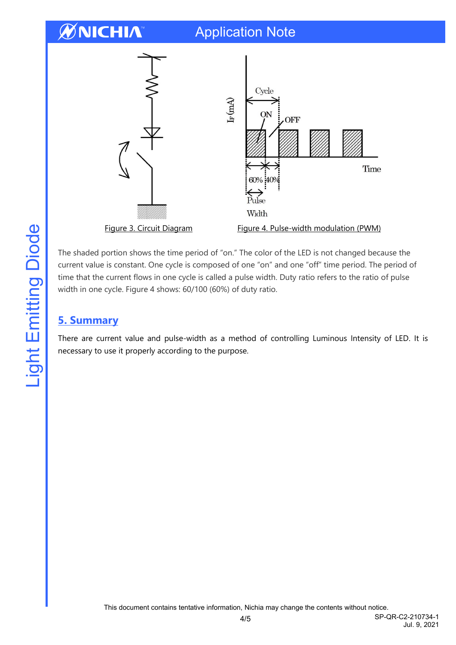### Application Note



The shaded portion shows the time period of "on." The color of the LED is not changed because the current value is constant. One cycle is composed of one "on" and one "off" time period. The period of time that the current flows in one cycle is called a pulse width. Duty ratio refers to the ratio of pulse width in one cycle. Figure 4 shows: 60/100 (60%) of duty ratio.

#### <span id="page-3-0"></span>**5. Summary**

There are current value and pulse-width as a method of controlling Luminous Intensity of LED. It is necessary to use it properly according to the purpose.